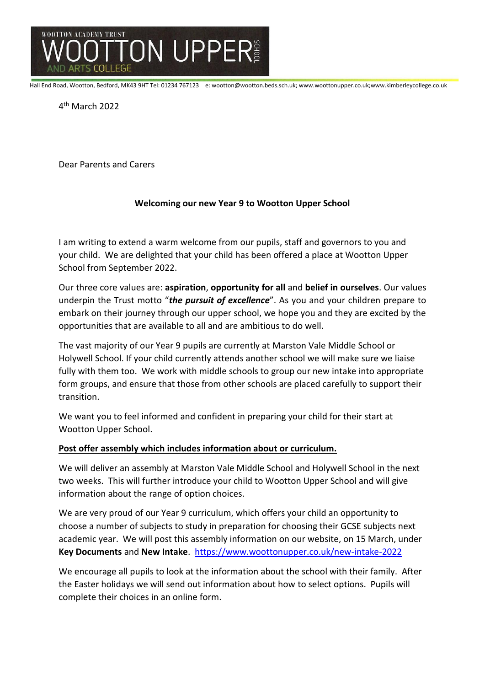

Hall End Road, Wootton, Bedford, MK43 9HT Tel: 01234 767123 e: wootton@wootton.beds.sch.uk; www.woottonupper.co.uk;www.kimberleycollege.co.uk

4 th March 2022

Dear Parents and Carers

# **Welcoming our new Year 9 to Wootton Upper School**

I am writing to extend a warm welcome from our pupils, staff and governors to you and your child. We are delighted that your child has been offered a place at Wootton Upper School from September 2022.

Our three core values are: **aspiration**, **opportunity for all** and **belief in ourselves**. Our values underpin the Trust motto "*the pursuit of excellence*". As you and your children prepare to embark on their journey through our upper school, we hope you and they are excited by the opportunities that are available to all and are ambitious to do well.

The vast majority of our Year 9 pupils are currently at Marston Vale Middle School or Holywell School. If your child currently attends another school we will make sure we liaise fully with them too. We work with middle schools to group our new intake into appropriate form groups, and ensure that those from other schools are placed carefully to support their transition.

We want you to feel informed and confident in preparing your child for their start at Wootton Upper School.

## **Post offer assembly which includes information about or curriculum.**

We will deliver an assembly at Marston Vale Middle School and Holywell School in the next two weeks. This will further introduce your child to Wootton Upper School and will give information about the range of option choices.

We are very proud of our Year 9 curriculum, which offers your child an opportunity to choose a number of subjects to study in preparation for choosing their GCSE subjects next academic year. We will post this assembly information on our website, on 15 March, under **Key Documents** and **New Intake**. <https://www.woottonupper.co.uk/new-intake-2022>

We encourage all pupils to look at the information about the school with their family. After the Easter holidays we will send out information about how to select options. Pupils will complete their choices in an online form.